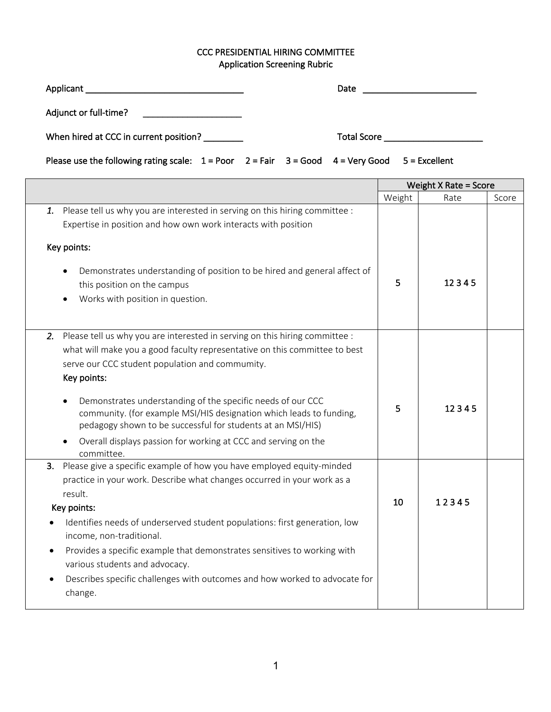## CCC PRESIDENTIAL HIRING COMMITTEE Application Screening Rubric

| Adjunct or full-time?<br><u> 1980 - Andrea Andrew Maria (h. 19</u>                                      |                                     |  |
|---------------------------------------------------------------------------------------------------------|-------------------------------------|--|
| When hired at CCC in current position?                                                                  | Total Score _______________________ |  |
| Please use the following rating scale: $1 = Poor$ $2 = Fair$ $3 = Good$ $4 = Very Good$ $5 = Excellent$ |                                     |  |

|                                                                                                                                                                                                                                   | Weight X Rate = Score |       |       |
|-----------------------------------------------------------------------------------------------------------------------------------------------------------------------------------------------------------------------------------|-----------------------|-------|-------|
|                                                                                                                                                                                                                                   | Weight                | Rate  | Score |
| Please tell us why you are interested in serving on this hiring committee :<br>1.<br>Expertise in position and how own work interacts with position                                                                               |                       |       |       |
| Key points:                                                                                                                                                                                                                       |                       |       |       |
| Demonstrates understanding of position to be hired and general affect of<br>this position on the campus<br>Works with position in question.                                                                                       | 5                     | 12345 |       |
| Please tell us why you are interested in serving on this hiring committee :<br>2.<br>what will make you a good faculty representative on this committee to best<br>serve our CCC student population and commumity.<br>Key points: |                       |       |       |
| Demonstrates understanding of the specific needs of our CCC<br>$\bullet$<br>community. (for example MSI/HIS designation which leads to funding,<br>pedagogy shown to be successful for students at an MSI/HIS)                    | 5                     | 12345 |       |
| Overall displays passion for working at CCC and serving on the<br>committee.                                                                                                                                                      |                       |       |       |
| Please give a specific example of how you have employed equity-minded<br>3.<br>practice in your work. Describe what changes occurred in your work as a<br>result.                                                                 | 10                    | 12345 |       |
| Key points:                                                                                                                                                                                                                       |                       |       |       |
| Identifies needs of underserved student populations: first generation, low<br>income, non-traditional.                                                                                                                            |                       |       |       |
| Provides a specific example that demonstrates sensitives to working with<br>$\bullet$<br>various students and advocacy.                                                                                                           |                       |       |       |
| Describes specific challenges with outcomes and how worked to advocate for<br>$\bullet$<br>change.                                                                                                                                |                       |       |       |